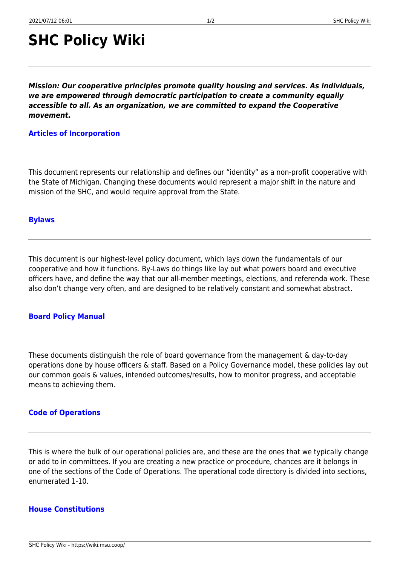# **SHC Policy Wiki**

*Mission: Our cooperative principles promote quality housing and services. As individuals, we are empowered through democratic participation to create a community equally accessible to all. As an organization, we are committed to expand the Cooperative movement.*

## **[Articles of Incorporation](https://wiki.msu.coop/policy_documents/articles_of_incorporation/articles_of_incorporation)**

This document represents our relationship and defines our "identity" as a non-profit cooperative with the State of Michigan. Changing these documents would represent a major shift in the nature and mission of the SHC, and would require approval from the State.

#### **[Bylaws](https://wiki.msu.coop/policy_documents/bylaws/bylaws)**

This document is our highest-level policy document, which lays down the fundamentals of our cooperative and how it functions. By-Laws do things like lay out what powers board and executive officers have, and define the way that our all-member meetings, elections, and referenda work. These also don't change very often, and are designed to be relatively constant and somewhat abstract.

## **[Board Policy Manual](https://wiki.msu.coop/policy_documents/board_policy_manual/board_policy_manual)**

These documents distinguish the role of board governance from the management & day-to-day operations done by house officers & staff. Based on a Policy Governance model, these policies lay out our common goals & values, intended outcomes/results, how to monitor progress, and acceptable means to achieving them.

# **[Code of Operations](https://wiki.msu.coop/policy_documents/code_of_operations/code_of_operations)**

This is where the bulk of our operational policies are, and these are the ones that we typically change or add to in committees. If you are creating a new practice or procedure, chances are it belongs in one of the sections of the Code of Operations. The operational code directory is divided into sections, enumerated 1-10.

## **[House Constitutions](https://wiki.msu.coop/policy_documents/house_constitutions/house_constitutions)**